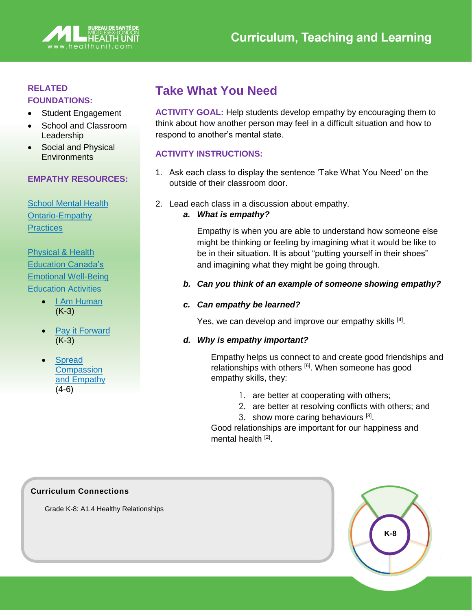

## **RELATED**

#### **FOUNDATIONS:**

- Student Engagement
- School and Classroom Leadership
- Social and Physical **Environments**

#### **EMPATHY RESOURCES:**

[School Mental Health](https://smho-smso.ca/emhc/healthy-relationship-skills/empathy/)  [Ontario-Empathy](https://smho-smso.ca/emhc/healthy-relationship-skills/empathy/)  **[Practices](https://smho-smso.ca/emhc/healthy-relationship-skills/empathy/)** 

## [Physical & Health](https://phecanada.ca/programs/phe-learning-centre/emotional-well-being-education-activities)  Education [Canada's](https://phecanada.ca/programs/phe-learning-centre/emotional-well-being-education-activities)  [Emotional Well-Being](https://phecanada.ca/programs/phe-learning-centre/emotional-well-being-education-activities)  [Education Activities](https://phecanada.ca/programs/phe-learning-centre/emotional-well-being-education-activities)

- [I Am Human](https://phecanada.ca/sites/default/files/content/docs/Home%20Learning%20Resource/K-3/Emotional%20Well-Being/K-3%20EW%20Round%202_I%20Am%20Human.pdf) (K-3)
- [Pay it Forward](https://phecanada.ca/sites/default/files/content/docs/Home%20Learning%20Resource/K-3/Emotional%20Well-Being/K-3%20EW_Pay%20It%20Forward.pdf) (K-3)
- **Spread Compassion** [and Empathy](https://phecanada.ca/sites/default/files/content/docs/Home%20Learning%20Resource/4-6/Emotional%20Well-Being/4-6%20EW_Spread%20Compassion%20and%20Empathy.pdf) (4-6)

# **Take What You Need**

**ACTIVITY GOAL:** Help students develop empathy by encouraging them to think about how another person may feel in a difficult situation and how to respond to another's mental state.

### **ACTIVITY INSTRUCTIONS:**

- 1. Ask each class to display the sentence 'Take What You Need' on the outside of their classroom door.
- 2. Lead each class in a discussion about empathy.
	- *a. What is empathy?*

Empathy is when you are able to understand how someone else might be thinking or feeling by imagining what it would be like to be in their situation. It is about "putting yourself in their shoes" and imagining what they might be going through.

*b. Can you think of an example of someone showing empathy?* 

#### *c. Can empathy be learned?*

Yes, we can develop and improve our empathy skills [4].

#### *d. Why is empathy important?*

Empathy helps us connect to and create good friendships and relationships with others <sup>[6]</sup>. When someone has good empathy skills, they:

- 1. are better at cooperating with others;
- 2. are better at resolving conflicts with others; and
- 3. show more caring behaviours [3].

Good relationships are important for our happiness and mental health [2].



Grade K-8: A1.4 Healthy Relationships

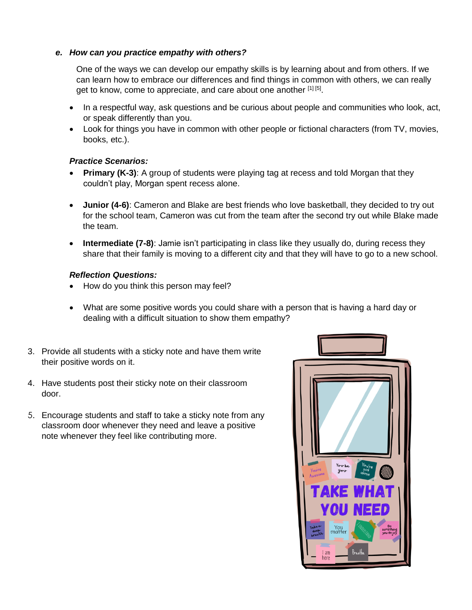#### *e. How can you practice empathy with others?*

One of the ways we can develop our empathy skills is by learning about and from others. If we can learn how to embrace our differences and find things in common with others, we can really get to know, come to appreciate, and care about one another [1] [5].

- In a respectful way, ask questions and be curious about people and communities who look, act, or speak differently than you.
- Look for things you have in common with other people or fictional characters (from TV, movies, books, etc.).

#### *Practice Scenarios:*

- **Primary (K-3)**: A group of students were playing tag at recess and told Morgan that they couldn't play, Morgan spent recess alone.
- **Junior (4-6)**: Cameron and Blake are best friends who love basketball, they decided to try out for the school team, Cameron was cut from the team after the second try out while Blake made the team.
- **Intermediate (7-8)**: Jamie isn't participating in class like they usually do, during recess they share that their family is moving to a different city and that they will have to go to a new school.

#### *Reflection Questions:*

- How do you think this person may feel?
- What are some positive words you could share with a person that is having a hard day or dealing with a difficult situation to show them empathy?
- 3. Provide all students with a sticky note and have them write their positive words on it.
- 4. Have students post their sticky note on their classroom door.
- 5. Encourage students and staff to take a sticky note from any classroom door whenever they need and leave a positive note whenever they feel like contributing more.